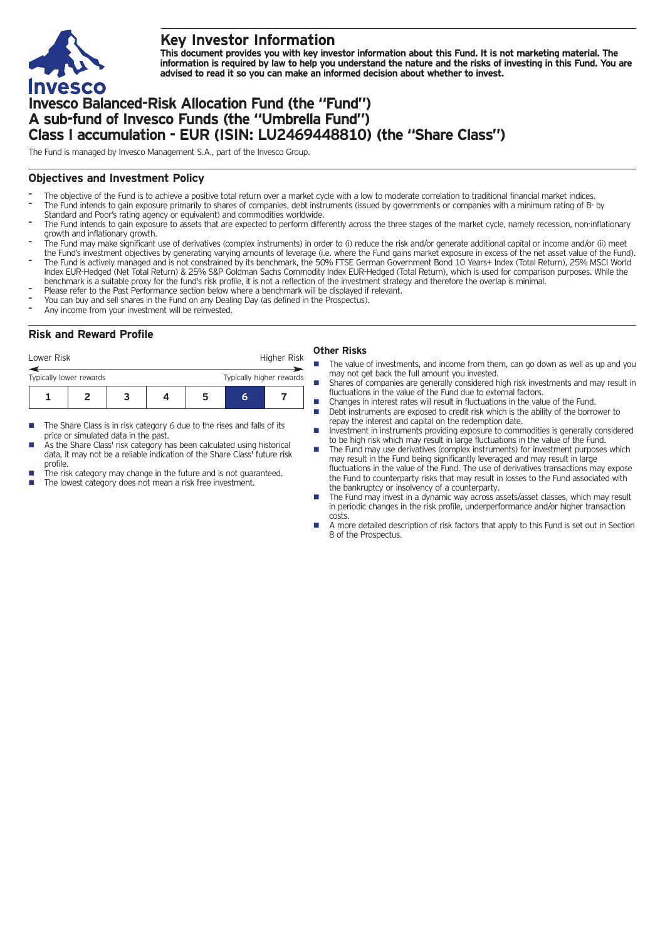

# **Key Investor Information**

This document provides you with key investor information about this Fund. It is not marketing material. The information is required by law to help you understand the nature and the risks of investing in this Fund. You are **advised to read it so you can make an informed decision about whether to invest.**

# **Invesco Balanced-Risk Allocation Fund (the "Fund") A sub-fund of Invesco Funds (the "Umbrella Fund") Class I accumulation - EUR (ISIN: LU2469448810) (the "Share Class")**

The Fund is managed by Invesco Management S.A., part of the Invesco Group.

## **Objectives and Investment Policy**

- The objective of the Fund is to achieve a positive total return over a market cycle with a low to moderate correlation to traditional financial market indices. The Fund intends to gain exposure primarily to shares of companies, debt instruments (issued by governments or companies with a minimum rating of B- by
- Standard and Poor's rating agency or equivalent) and commodities worldwide.
- The Fund intends to gain exposure to assets that are expected to perform differently across the three stages of the market cycle, namely recession, non-inflationary growth and inflationary growth.
- The Fund may make significant use of derivatives (complex instruments) in order to (i) reduce the risk and/or generate additional capital or income and/or (ii) meet the Fund's investment objectives by generating varying amounts of leverage (i.e. where the Fund gains market exposure in excess of the net asset value of the Fund).
- The Fund is actively managed and is not constrained by its benchmark, the 50% FTSE German Government Bond <sup>10</sup> Years+ Index (Total Return), 25% MSCI World Index EUR-Hedged (Net Total Return) & 25% S&P Goldman Sachs Commodity Index EUR-Hedged (Total Return), which is used for comparison purposes. While the
- benchmark is a suitable proxy for the fund's risk profile, it is not a reflection of the investment strategy and therefore the overlap is minimal. Please refer to the Past Performance section below where a benchmark will be displayed if relevant.
- You can buy and sell shares in the Fund on any Dealing Day (as defined in the Prospectus).
- Any income from your investment will be reinvested.
- 

## **Risk and Reward Profile**

| Lower Risk              |  |                          |  | Higher Risk |  |
|-------------------------|--|--------------------------|--|-------------|--|
| Typically lower rewards |  | Typically higher rewards |  |             |  |
|                         |  |                          |  | h           |  |

- The Share Class is in risk category 6 due to the rises and falls of its price or simulated data in the past.
- As the Share Class' risk category has been calculated using historical data, it may not be a reliable indication of the Share Class' future risk profile.
- The risk category may change in the future and is not guaranteed.
- The lowest category does not mean a risk free investment.

### **Other Risks**

- The value of investments, and income from them, can go down as well as up and you may not get back the full amount you invested.
	- Shares of companies are generally considered high risk investments and may result in fluctuations in the value of the Fund due to external factors.
- n Changes in interest rates will result in fluctuations in the value of the Fund. n Debt instruments are exposed to credit risk which is the ability of the borrower to
- repay the interest and capital on the redemption date.
- **n** Investment in instruments providing exposure to commodities is generally considered to be high risk which may result in large fluctuations in the value of the Fund.
- The Fund may use derivatives (complex instruments) for investment purposes which may result in the Fund being significantly leveraged and may result in large fluctuations in the value of the Fund. The use of derivatives transactions may expose the Fund to counterparty risks that may result in losses to the Fund associated with the bankruptcy or insolvency of a counterparty.
- The Fund may invest in a dynamic way across assets/asset classes, which may result in periodic changes in the risk profile, underperformance and/or higher transaction costs.
- A more detailed description of risk factors that apply to this Fund is set out in Section 8 of the Prospectus.